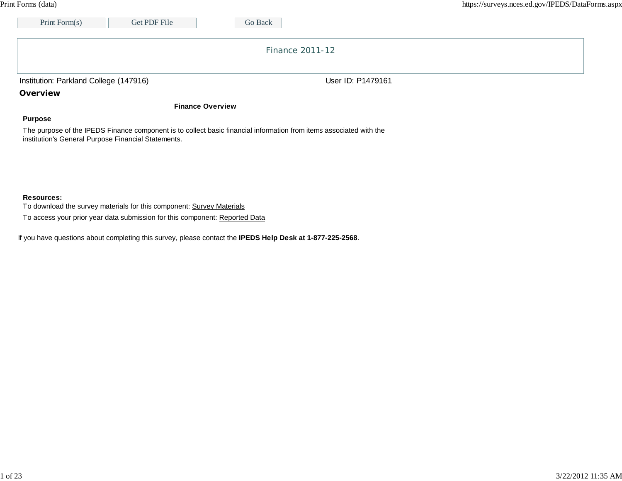|--|

| Get PDF File<br>Print Form(s)                                                                                                                                              | Go Back           |  |
|----------------------------------------------------------------------------------------------------------------------------------------------------------------------------|-------------------|--|
|                                                                                                                                                                            | Finance 2011-12   |  |
| Institution: Parkland College (147916)                                                                                                                                     | User ID: P1479161 |  |
| Overview                                                                                                                                                                   |                   |  |
| <b>Finance Overview</b>                                                                                                                                                    |                   |  |
| <b>Purpose</b>                                                                                                                                                             |                   |  |
| The purpose of the IPEDS Finance component is to collect basic financial information from items associated with the<br>institution's General Purpose Financial Statements. |                   |  |
|                                                                                                                                                                            |                   |  |
|                                                                                                                                                                            |                   |  |

## **Resources:**

To download the survey materials for this component: Survey Materials

To access your prior year data submission for this component: Reported Data

If you have questions about completing this survey, please contact the **IPEDS Help Desk at 1-877-225-2568**.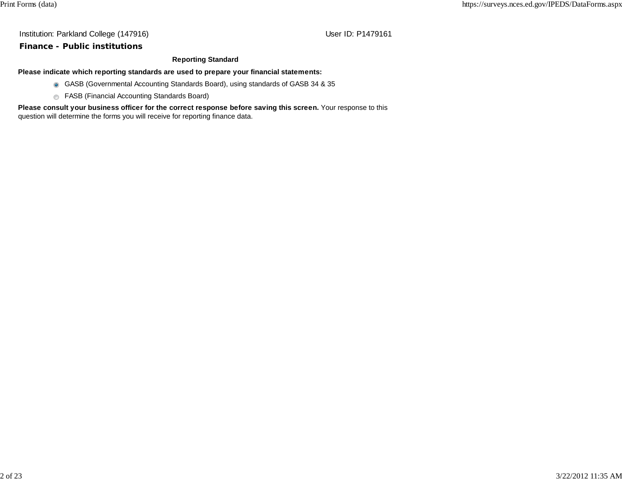### **Finance - Public institutions**

#### **Reporting Standard**

**Please indicate which reporting standards are used to prepare your financial statements:**

- GASB (Governmental Accounting Standards Board), using standards of GASB 34 & 35
- **6** FASB (Financial Accounting Standards Board)

**Please consult your business officer for the correct response before saving this screen.** Your response to this question will determine the forms you will receive for reporting finance data.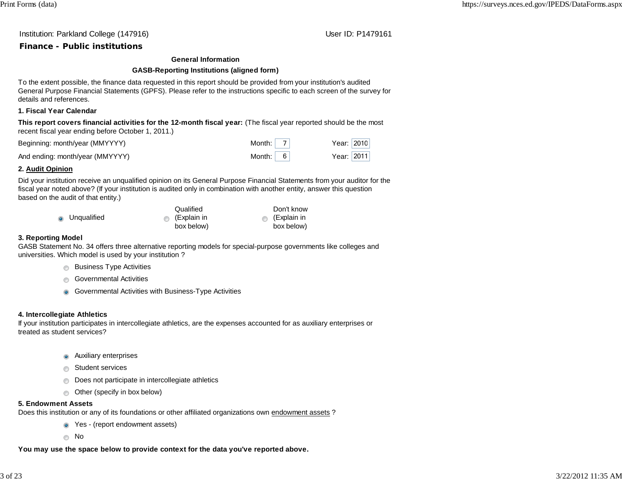Institution: Parkland College (147916) November 2012 12: P1479161

# **Finance - Public institutions**

### **General Information**

## **GASB-Reporting Institutions (aligned form)**

To the extent possible, the finance data requested in this report should be provided from your institution's audited General Purpose Financial Statements (GPFS). Please refer to the instructions specific to each screen of the survey for details and references.

## **1. Fiscal Year Calendar**

**This report covers financial activities for the 12-month fiscal year:** (The fiscal year reported should be the most recent fiscal year ending before October 1, 2011.)

| Beginning: month/year (MMYYYY)  | Month: $ 7 $    | Year: $ 2010 $ |
|---------------------------------|-----------------|----------------|
| And ending: month/year (MMYYYY) | Month: $6 \mid$ | Year: $2011$   |

## **2. Audit Opinion**

Did your institution receive an unqualified opinion on its General Purpose Financial Statements from your auditor for the fiscal year noted above? (If your institution is audited only in combination with another entity, answer this question based on the audit of that entity.)

|               | Qualified             | Don't know          |
|---------------|-----------------------|---------------------|
| • Unqualified | $\bullet$ (Explain in | $\circ$ (Explain in |
|               | box below)            | box below)          |

## **3. Reporting Model**

GASB Statement No. 34 offers three alternative reporting models for special-purpose governments like colleges and universities. Which model is used by your institution ?

- **Business Type Activities**
- **Governmental Activities** 
	- **G** Governmental Activities with Business-Type Activities

## **4. Intercollegiate Athletics**

If your institution participates in intercollegiate athletics, are the expenses accounted for as auxiliary enterprises or treated as student services?

- **Auxiliary enterprises**
- **Student services** 
	- **Does not participate in intercollegiate athletics**
	- Other (specify in box below)

## **5. Endowment Assets**

Does this institution or any of its foundations or other affiliated organizations own endowment assets ?

- Yes (report endowment assets)
- not a series and a No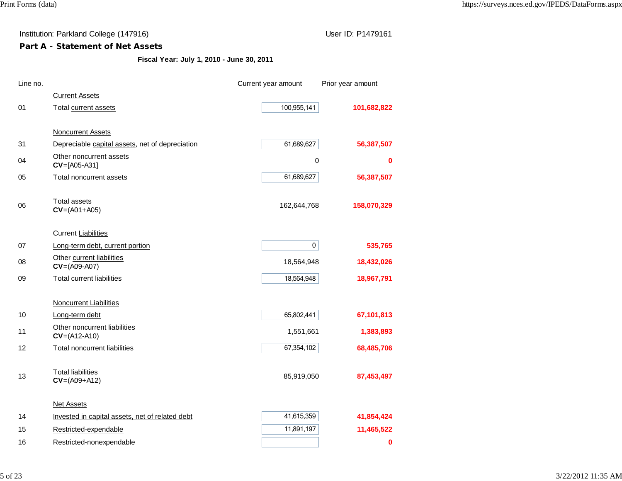# **Part A - Statement of Net Assets**

**Fiscal Year: July 1, 2010 - June 30, 2011**

| Line no. |                                                 | Current year amount | Prior year amount |
|----------|-------------------------------------------------|---------------------|-------------------|
|          | <b>Current Assets</b>                           |                     |                   |
| 01       | Total current assets                            | 100,955,141         | 101,682,822       |
|          |                                                 |                     |                   |
|          | Noncurrent Assets                               |                     |                   |
| 31       | Depreciable capital assets, net of depreciation | 61,689,627          | 56,387,507        |
| 04       | Other noncurrent assets<br>$CV=[A05-A31]$       | $\pmb{0}$           | 0                 |
| 05       | Total noncurrent assets                         | 61,689,627          | 56,387,507        |
|          | <b>Total assets</b>                             |                     |                   |
| 06       | $CV=(A01+A05)$                                  | 162,644,768         | 158,070,329       |
|          | <b>Current Liabilities</b>                      |                     |                   |
| 07       | Long-term debt, current portion                 | $\pmb{0}$           | 535,765           |
| 08       | Other current liabilities<br>$CV=(A09-A07)$     | 18,564,948          | 18,432,026        |
| 09       | <b>Total current liabilities</b>                | 18,564,948          | 18,967,791        |
|          | <b>Noncurrent Liabilities</b>                   |                     |                   |
| 10       | Long-term debt                                  | 65,802,441          | 67,101,813        |
|          | Other noncurrent liabilities                    |                     |                   |
| 11       | $CV=(A12-A10)$                                  | 1,551,661           | 1,383,893         |
| 12       | Total noncurrent liabilities                    | 67,354,102          | 68,485,706        |
|          | <b>Total liabilities</b>                        |                     |                   |
| 13       | $CV=(A09+A12)$                                  | 85,919,050          | 87,453,497        |
|          | <b>Net Assets</b>                               |                     |                   |
| 14       | Invested in capital assets, net of related debt | 41,615,359          | 41,854,424        |
| 15       | Restricted-expendable                           | 11,891,197          | 11,465,522        |
| 16       | Restricted-nonexpendable                        |                     | 0                 |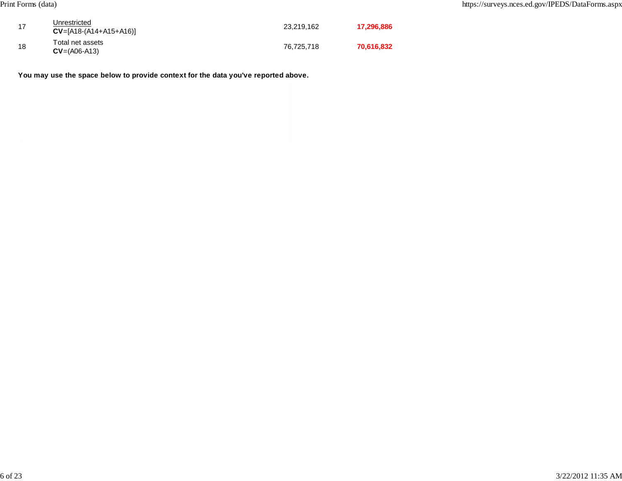| 17 | Unrestricted<br>$CV=[A18-(A14+A15+A16)]$ | 23,219,162 | 17,296,886 |
|----|------------------------------------------|------------|------------|
| 18 | Total net assets<br>$CV=(A06-A13)$       | 76,725,718 | 70,616,832 |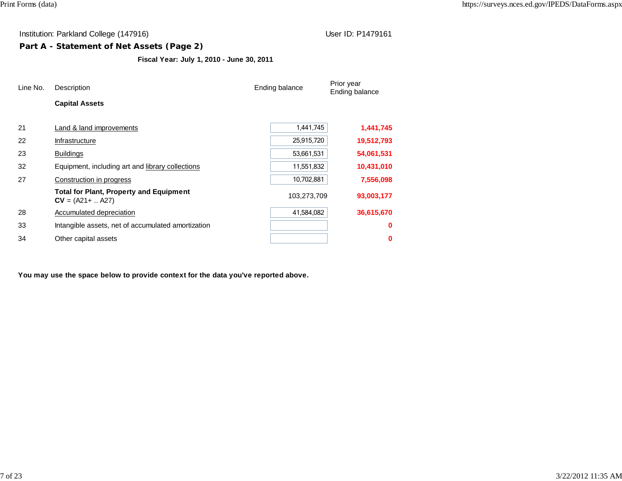# **Part A - Statement of Net Assets (Page 2)**

**Fiscal Year: July 1, 2010 - June 30, 2011**

| Line No. | Description                                                           | Ending balance |            |
|----------|-----------------------------------------------------------------------|----------------|------------|
|          | <b>Capital Assets</b>                                                 |                |            |
| 21       | Land & land improvements                                              | 1,441,745      | 1,441,745  |
| 22       | Infrastructure                                                        | 25,915,720     | 19,512,793 |
| 23       | <b>Buildings</b>                                                      | 53,661,531     | 54,061,531 |
| 32       | Equipment, including art and library collections                      | 11,551,832     | 10,431,010 |
| 27       | Construction in progress                                              | 10.702,881     | 7,556,098  |
|          | <b>Total for Plant, Property and Equipment</b><br>$CV = (A21 +  A27)$ | 103,273,709    | 93,003,177 |
| 28       | Accumulated depreciation                                              | 41,584,082     | 36,615,670 |
| 33       | Intangible assets, net of accumulated amortization                    |                | 0          |
| 34       | Other capital assets                                                  |                | 0          |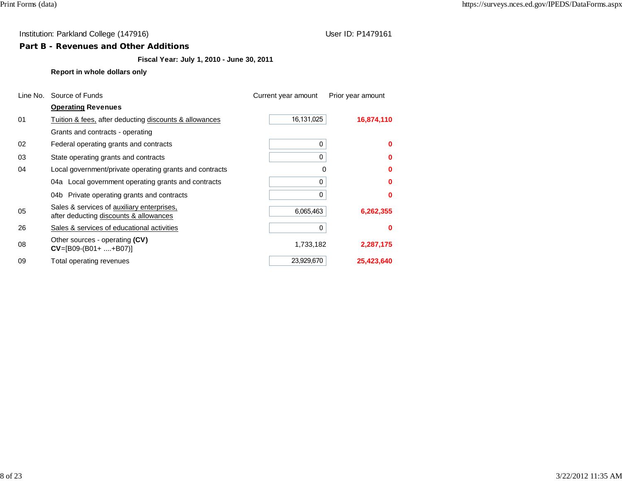## **Part B - Revenues and Other Additions**

# **Fiscal Year: July 1, 2010 - June 30, 2011**

## **Report in whole dollars only**

| Line No. | Source of Funds                                                                      | Current year amount | Prior year amount |  |
|----------|--------------------------------------------------------------------------------------|---------------------|-------------------|--|
|          | <b>Operating Revenues</b>                                                            |                     |                   |  |
| 01       | Tuition & fees, after deducting discounts & allowances                               | 16,131,025          | 16,874,110        |  |
|          | Grants and contracts - operating                                                     |                     |                   |  |
| 02       | Federal operating grants and contracts                                               | 0                   | o                 |  |
| 03       | State operating grants and contracts                                                 | 0                   |                   |  |
| 04       | Local government/private operating grants and contracts                              | 0                   |                   |  |
|          | 04a Local government operating grants and contracts                                  | 0                   | n                 |  |
|          | 04b Private operating grants and contracts                                           | 0                   | n                 |  |
| 05       | Sales & services of auxiliary enterprises,<br>after deducting discounts & allowances | 6,065,463           | 6,262,355         |  |
| 26       | Sales & services of educational activities                                           | 0                   | o                 |  |
| 08       | Other sources - operating (CV)<br>$CV=[B09-(B01++B07)]$                              | 1,733,182           | 2,287,175         |  |
| 09       | Total operating revenues                                                             | 23,929,670          | 25,423,640        |  |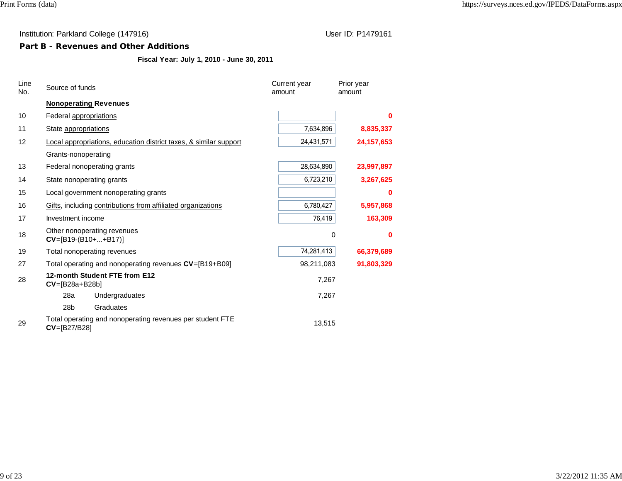# **Part B - Revenues and Other Additions**

# **Fiscal Year: July 1, 2010 - June 30, 2011**

| Line<br>No. | Source of funds                                      |                                                                   | Current year<br>amount | Prior year<br>amount |  |
|-------------|------------------------------------------------------|-------------------------------------------------------------------|------------------------|----------------------|--|
|             |                                                      | <b>Nonoperating Revenues</b>                                      |                        |                      |  |
| 10          | Federal appropriations                               |                                                                   |                        | 0                    |  |
| 11          | State appropriations                                 |                                                                   | 7,634,896              | 8,835,337            |  |
| 12          |                                                      | Local appropriations, education district taxes, & similar support | 24,431,571             | 24, 157, 653         |  |
|             | Grants-nonoperating                                  |                                                                   |                        |                      |  |
| 13          |                                                      | Federal nonoperating grants                                       | 28,634,890             | 23,997,897           |  |
| 14          |                                                      | State nonoperating grants                                         | 6,723,210              | 3,267,625            |  |
| 15          |                                                      | Local government nonoperating grants                              |                        | 0                    |  |
| 16          |                                                      | Gifts, including contributions from affiliated organizations      | 6,780,427              | 5,957,868            |  |
| 17          | Investment income                                    |                                                                   | 76,419                 | 163,309              |  |
| 18          | Other nonoperating revenues<br>$CV=[B19-(B10++B17)]$ |                                                                   | 0                      | 0                    |  |
| 19          | Total nonoperating revenues                          |                                                                   | 74,281,413             | 66,379,689           |  |
| 27          |                                                      | Total operating and nonoperating revenues CV=[B19+B09]            | 98,211,083             | 91,803,329           |  |
| 28          | $CV=[B28a+B28b]$                                     | 12-month Student FTE from E12                                     | 7,267                  |                      |  |
|             | 28a                                                  | Undergraduates                                                    | 7,267                  |                      |  |
|             | 28b                                                  | Graduates                                                         |                        |                      |  |
| 29          | CV=[B27/B28]                                         | Total operating and nonoperating revenues per student FTE         | 13,515                 |                      |  |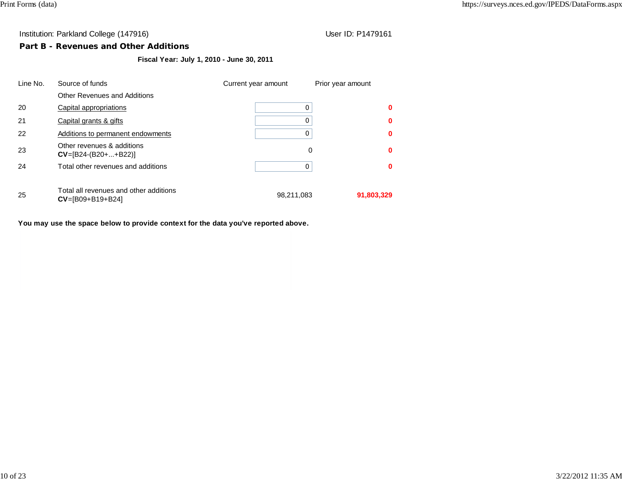## **Part B - Revenues and Other Additions**

**Fiscal Year: July 1, 2010 - June 30, 2011**

| Line No. | Source of funds                                                    | Current year amount | Prior year amount |
|----------|--------------------------------------------------------------------|---------------------|-------------------|
|          | <b>Other Revenues and Additions</b>                                |                     |                   |
| 20       | Capital appropriations                                             |                     | 0                 |
| 21       | Capital grants & gifts                                             |                     |                   |
| 22       | Additions to permanent endowments                                  |                     |                   |
| 23       | Other revenues & additions<br>$CV=[B24-(B20++B22)]$                |                     | 0<br>0            |
| 24       | Total other revenues and additions                                 |                     |                   |
| 25       | Total all revenues and other additions<br>$CV = [B09 + B19 + B24]$ | 98,211,083          | 91,803,329        |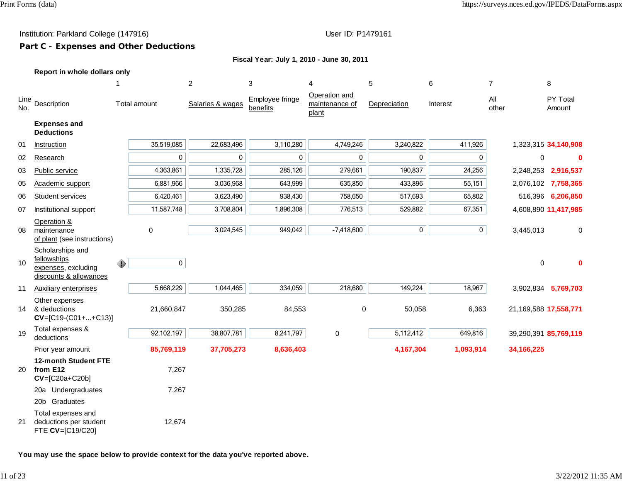# **Part C - Expenses and Other Deductions**

| Fiscal Year: July 1, 2010 - June 30, 2011 |  |  |  |
|-------------------------------------------|--|--|--|
|                                           |  |  |  |

|  |  |  | Report in whole dollars only |  |
|--|--|--|------------------------------|--|
|--|--|--|------------------------------|--|

|             |                                                                                  | -1 |              | 2                | 3                           | 4                                        | 5            | 6           | $\overline{7}$ |              | 8                     |
|-------------|----------------------------------------------------------------------------------|----|--------------|------------------|-----------------------------|------------------------------------------|--------------|-------------|----------------|--------------|-----------------------|
| Line<br>No. | Description                                                                      |    | Total amount | Salaries & wages | Employee fringe<br>benefits | Operation and<br>maintenance of<br>plant | Depreciation | Interest    | All<br>other   |              | PY Total<br>Amount    |
|             | <b>Expenses and</b><br><b>Deductions</b>                                         |    |              |                  |                             |                                          |              |             |                |              |                       |
| 01          | Instruction                                                                      |    | 35,519,085   | 22,683,496       | 3,110,280                   | 4,749,246                                | 3,240,822    | 411,926     |                |              | 1,323,315 34,140,908  |
| 02          | Research                                                                         |    | 0            | 0                | 0                           | 0                                        | 0            | 0           |                | $\Omega$     | $\bf{0}$              |
| 03          | Public service                                                                   |    | 4,363,861    | 1,335,728        | 285,126                     | 279,661                                  | 190,837      | 24,256      |                |              | 2,248,253 2,916,537   |
| 05          | Academic support                                                                 |    | 6,881,966    | 3,036,968        | 643,999                     | 635,850                                  | 433,896      | 55,151      |                |              | 2,076,102 7,758,365   |
| 06          | Student services                                                                 |    | 6,420,461    | 3,623,490        | 938,430                     | 758,650                                  | 517,693      | 65,802      |                |              | 516,396 6,206,850     |
| 07          | Institutional support                                                            |    | 11,587,748   | 3,708,804        | 1,896,308                   | 776,513                                  | 529,882      | 67,351      |                |              | 4,608,890 11,417,985  |
| 08          | Operation &<br>maintenance<br>of plant (see instructions)                        |    | 0            | 3,024,545        | 949,042                     | $-7,418,600$                             | 0            | $\mathbf 0$ |                | 3,445,013    | 0                     |
| 10          | Scholarships and<br>fellowships<br>expenses, excluding<br>discounts & allowances | ⊕  | $\mathbf 0$  |                  |                             |                                          |              |             |                | 0            | $\bf{0}$              |
| 11          | <b>Auxiliary enterprises</b>                                                     |    | 5,668,229    | 1,044,465        | 334,059                     | 218,680                                  | 149,224      | 18,967      |                |              | 3,902,834 5,769,703   |
| 14          | Other expenses<br>& deductions<br>$CV=[C19-(C01++C13)]$                          |    | 21,660,847   | 350,285          | 84,553                      | 0                                        | 50,058       | 6,363       |                |              | 21,169,588 17,558,771 |
| 19          | Total expenses &<br>deductions                                                   |    | 92,102,197   | 38,807,781       | 8,241,797                   | $\pmb{0}$                                | 5,112,412    | 649,816     |                |              | 39,290,391 85,769,119 |
|             | Prior year amount                                                                |    | 85,769,119   | 37,705,273       | 8,636,403                   |                                          | 4,167,304    | 1,093,914   |                | 34, 166, 225 |                       |
| 20          | 12-month Student FTE<br>from E12<br>$CV=[C20a+C20b]$                             |    | 7,267        |                  |                             |                                          |              |             |                |              |                       |
|             | 20a Undergraduates                                                               |    | 7,267        |                  |                             |                                          |              |             |                |              |                       |
|             | 20b Graduates                                                                    |    |              |                  |                             |                                          |              |             |                |              |                       |
| 21          | Total expenses and<br>deductions per student<br>FTE CV=[C19/C20]                 |    | 12,674       |                  |                             |                                          |              |             |                |              |                       |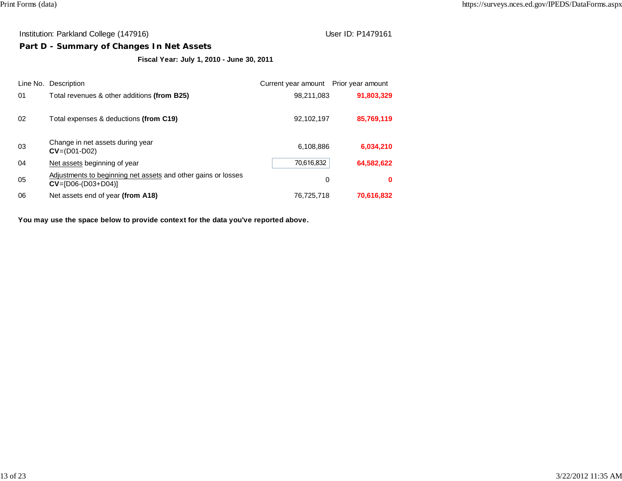# **Part D - Summary of Changes In Net Assets**

**Fiscal Year: July 1, 2010 - June 30, 2011**

| Line No. | Description                                                                             | Current year amount Prior year amount |            |
|----------|-----------------------------------------------------------------------------------------|---------------------------------------|------------|
| 01       | Total revenues & other additions (from B25)                                             | 98,211,083                            | 91,803,329 |
| 02       | Total expenses & deductions (from C19)                                                  | 92,102,197                            | 85,769,119 |
| 03       | Change in net assets during year<br>$CV = (D01-D02)$                                    | 6,108,886                             | 6,034,210  |
| 04       | Net assets beginning of year                                                            | 70,616,832                            | 64,582,622 |
| 05       | Adjustments to beginning net assets and other gains or losses<br>$CV = [D06-(D03+D04)]$ | 0                                     | 0          |
| 06       | Net assets end of year (from A18)                                                       | 76,725,718                            | 70,616,832 |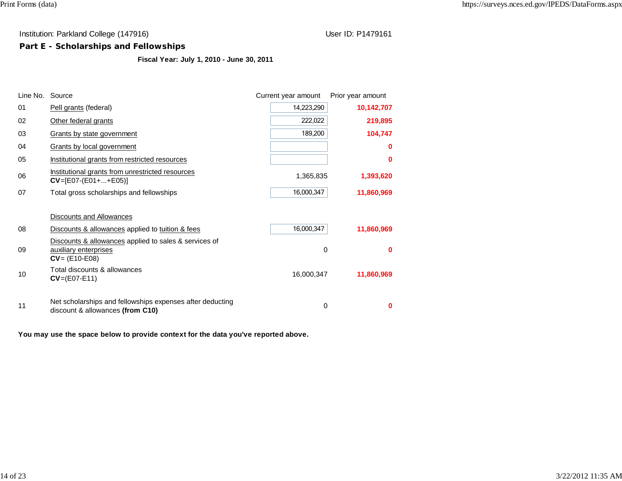# **Part E - Scholarships and Fellowships**

**Fiscal Year: July 1, 2010 - June 30, 2011**

| Line No. | Source                                                                                             | Current year amount | Prior year amount |
|----------|----------------------------------------------------------------------------------------------------|---------------------|-------------------|
| 01       | Pell grants (federal)                                                                              | 14,223,290          | 10,142,707        |
| 02       | Other federal grants                                                                               | 222,022             | 219,895           |
| 03       | Grants by state government                                                                         | 189,200             | 104,747           |
| 04       | Grants by local government                                                                         |                     | o                 |
| 05       | Institutional grants from restricted resources                                                     |                     | ŋ                 |
| 06       | Institutional grants from unrestricted resources<br>$CV = [E07-(E01++E05)]$                        | 1,365,835           | 1,393,620         |
| 07       | Total gross scholarships and fellowships                                                           | 16,000,347          | 11,860,969        |
|          |                                                                                                    |                     |                   |
|          | Discounts and Allowances                                                                           |                     |                   |
| 08       | Discounts & allowances applied to tuition & fees                                                   | 16,000,347          | 11,860,969        |
| 09       | Discounts & allowances applied to sales & services of<br>auxiliary enterprises<br>$CV = (E10-E08)$ | 0                   | o                 |
| 10       | Total discounts & allowances<br>$CV=(E07-E11)$                                                     | 16,000,347          | 11,860,969        |
| 11       | Net scholarships and fellowships expenses after deducting<br>discount & allowances (from C10)      | 0                   | 0                 |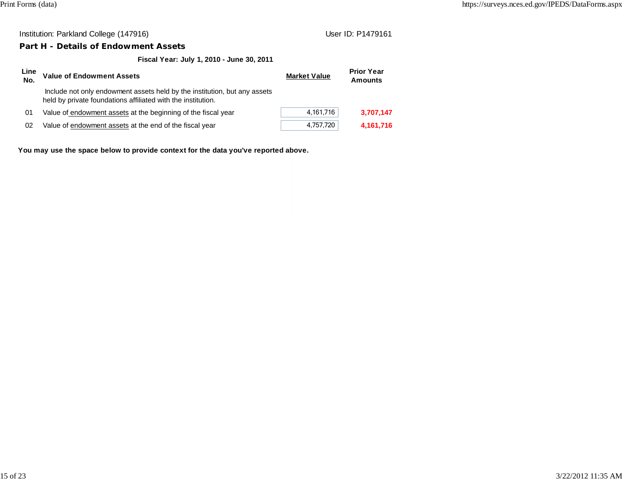## **Part H - Details of Endowment Assets**

**Fiscal Year: July 1, 2010 - June 30, 2011**

| Line<br>No. | <b>Value of Endowment Assets</b>                                                                                                          | <b>Market Value</b> | <b>Prior Year</b><br><b>Amounts</b> |
|-------------|-------------------------------------------------------------------------------------------------------------------------------------------|---------------------|-------------------------------------|
|             | Include not only endowment assets held by the institution, but any assets<br>held by private foundations affiliated with the institution. |                     |                                     |
| 01          | Value of endowment assets at the beginning of the fiscal year                                                                             | 4,161,716           | 3,707,147                           |
| 02          | Value of endowment assets at the end of the fiscal year                                                                                   | 4,757,720           | 4,161,716                           |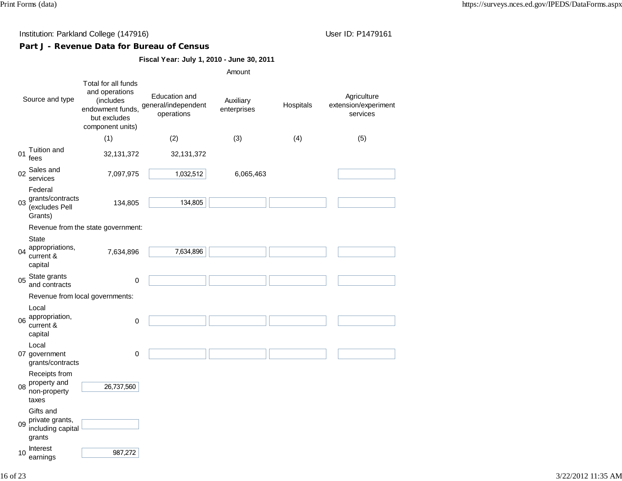# **Part J - Revenue Data for Bureau of Census**

## **Fiscal Year: July 1, 2010 - June 30, 2011**

|                                                                   |                                                                                                            |                                                    | Amount                   |           |                                                 |
|-------------------------------------------------------------------|------------------------------------------------------------------------------------------------------------|----------------------------------------------------|--------------------------|-----------|-------------------------------------------------|
| Source and type                                                   | Total for all funds<br>and operations<br>(includes<br>endowment funds,<br>but excludes<br>component units) | Education and<br>general/independent<br>operations | Auxiliary<br>enterprises | Hospitals | Agriculture<br>extension/experiment<br>services |
|                                                                   | (1)                                                                                                        | (2)                                                | (3)                      | (4)       | (5)                                             |
| Tuition and<br>01<br>fees                                         | 32, 131, 372                                                                                               | 32, 131, 372                                       |                          |           |                                                 |
| Sales and<br>02<br>services                                       | 7,097,975                                                                                                  | 1,032,512                                          | 6,065,463                |           |                                                 |
| Federal<br>grants/contracts<br>03<br>(excludes Pell<br>Grants)    | 134,805                                                                                                    | 134,805                                            |                          |           |                                                 |
|                                                                   | Revenue from the state government:                                                                         |                                                    |                          |           |                                                 |
| <b>State</b><br>appropriations,<br>04<br>current &<br>capital     | 7,634,896                                                                                                  | 7,634,896                                          |                          |           |                                                 |
| State grants<br>05<br>and contracts                               | 0                                                                                                          |                                                    |                          |           |                                                 |
|                                                                   | Revenue from local governments:                                                                            |                                                    |                          |           |                                                 |
| Local<br>appropriation,<br>06<br>current &<br>capital             | $\mathbf 0$                                                                                                |                                                    |                          |           |                                                 |
| Local<br>07 government<br>grants/contracts                        | 0                                                                                                          |                                                    |                          |           |                                                 |
| Receipts from<br>property and<br>08<br>non-property<br>taxes      | 26,737,560                                                                                                 |                                                    |                          |           |                                                 |
| Gifts and<br>private grants,<br>09<br>including capital<br>grants |                                                                                                            |                                                    |                          |           |                                                 |
| <b>Interest</b><br>10<br>earnings                                 | 987,272                                                                                                    |                                                    |                          |           |                                                 |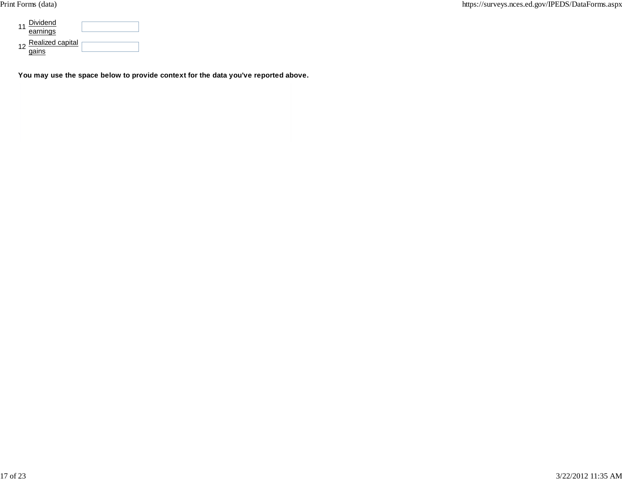| Dividend<br>earnings      |  |
|---------------------------|--|
| Realized capital<br>nains |  |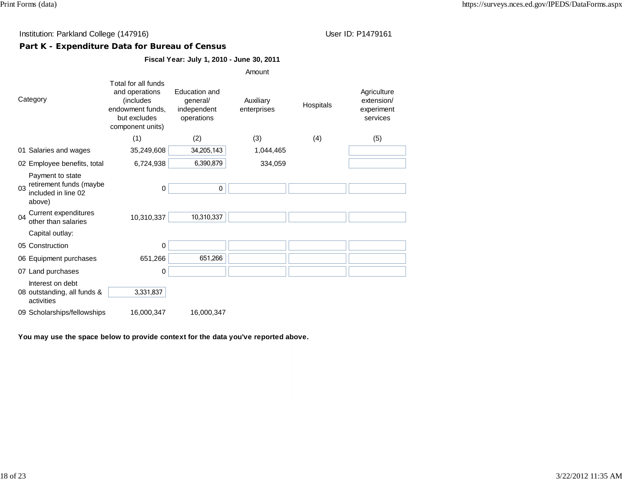# **Part K - Expenditure Data for Bureau of Census**

# **Fiscal Year: July 1, 2010 - June 30, 2011**

|                                                                                    |                                                                                                             |                                                               | Amount                   |           |                                                     |
|------------------------------------------------------------------------------------|-------------------------------------------------------------------------------------------------------------|---------------------------------------------------------------|--------------------------|-----------|-----------------------------------------------------|
| Category                                                                           | Total for all funds<br>and operations<br>(includes)<br>endowment funds,<br>but excludes<br>component units) | <b>Education and</b><br>general/<br>independent<br>operations | Auxiliary<br>enterprises | Hospitals | Agriculture<br>extension/<br>experiment<br>services |
|                                                                                    | (1)                                                                                                         | (2)                                                           | (3)                      | (4)       | (5)                                                 |
| 01 Salaries and wages                                                              | 35,249,608                                                                                                  | 34,205,143                                                    | 1,044,465                |           |                                                     |
| 02 Employee benefits, total                                                        | 6,724,938                                                                                                   | 6,390,879                                                     | 334,059                  |           |                                                     |
| Payment to state<br>retirement funds (maybe<br>03<br>included in line 02<br>above) | 0                                                                                                           | 0                                                             |                          |           |                                                     |
| Current expenditures<br>04<br>other than salaries                                  | 10,310,337                                                                                                  | 10,310,337                                                    |                          |           |                                                     |
| Capital outlay:                                                                    |                                                                                                             |                                                               |                          |           |                                                     |
| 05 Construction                                                                    | 0                                                                                                           |                                                               |                          |           |                                                     |
| 06 Equipment purchases                                                             | 651,266                                                                                                     | 651,266                                                       |                          |           |                                                     |
| 07 Land purchases                                                                  | 0                                                                                                           |                                                               |                          |           |                                                     |
| Interest on debt<br>08 outstanding, all funds &<br>activities                      | 3,331,837                                                                                                   |                                                               |                          |           |                                                     |
| 09 Scholarships/fellowships                                                        | 16,000,347                                                                                                  | 16,000,347                                                    |                          |           |                                                     |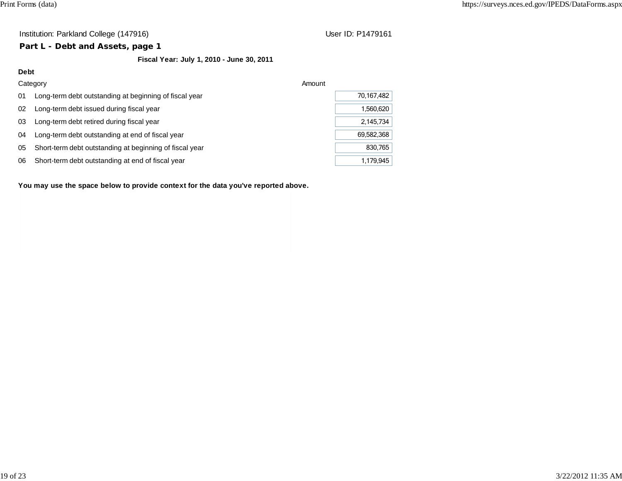## **Part L - Debt and Assets, page 1**

# **Fiscal Year: July 1, 2010 - June 30, 2011**

| Debt |                                                         |            |
|------|---------------------------------------------------------|------------|
|      | Category                                                | Amount     |
| 01   | Long-term debt outstanding at beginning of fiscal year  | 70,167,482 |
| 02   | Long-term debt issued during fiscal year                | 1.560.620  |
| 03   | Long-term debt retired during fiscal year               | 2.145.734  |
| 04   | Long-term debt outstanding at end of fiscal year        | 69,582,368 |
| 05   | Short-term debt outstanding at beginning of fiscal year | 830.765    |
| 06   | Short-term debt outstanding at end of fiscal year       | 1.179.945  |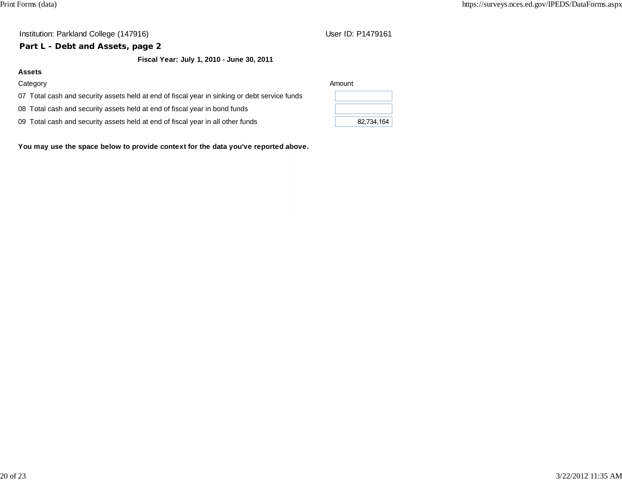# **Part L - Debt and Assets, page 2**

**Fiscal Year: July 1, 2010 - June 30, 2011**

## **Assets**

## Category Amount

07 Total cash and security assets held at end of fiscal year in sinking or debt service funds

- 08 Total cash and security assets held at end of fiscal year in bond funds
- 09 Total cash and security assets held at end of fiscal year in all other funds 82,734,164

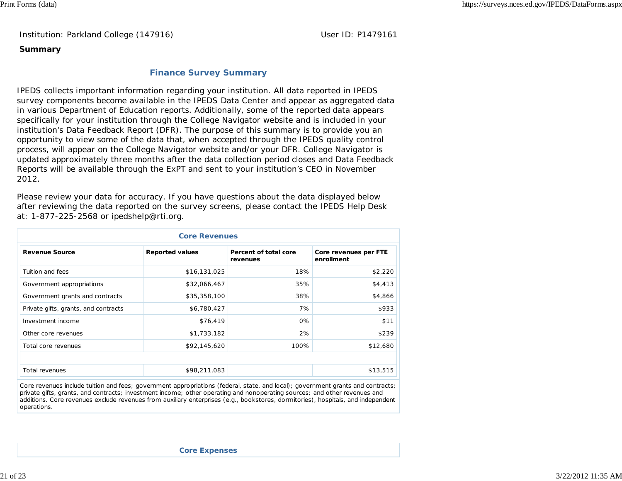Institution: Parkland College (147916) Noted that the User ID: P1479161

#### **Summary**

## **Finance Survey Summary**

IPEDS collects important information regarding your institution. All data reported in IPEDS survey components become available in the IPEDS Data Center and appear as aggregated data in various Department of Education reports. Additionally, some of the reported data appears specifically for your institution through the College Navigator website and is included in your institution's Data Feedback Report (DFR). The purpose of this summary is to provide you an opportunity to view some of the data that, when accepted through the IPEDS quality control process, will appear on the College Navigator website and/or your DFR. College Navigator is updated approximately three months after the data collection period closes and Data Feedback Reports will be available through the ExPT and sent to your institution's CEO in November 2012.

Please review your data for accuracy. If you have questions about the data displayed below after reviewing the data reported on the survey screens, please contact the IPEDS Help Desk at: 1-877-225-2568 or ipedshelp@rti.org.

| <b>Core Revenues</b>                 |                        |                                   |                                     |  |  |  |
|--------------------------------------|------------------------|-----------------------------------|-------------------------------------|--|--|--|
| <b>Revenue Source</b>                | <b>Reported values</b> | Percent of total core<br>revenues | Core revenues per FTE<br>enrollment |  |  |  |
| Tuition and fees                     | \$16,131,025           | 18%                               | \$2,220                             |  |  |  |
| Government appropriations            | \$32,066,467           | 35%                               | \$4,413                             |  |  |  |
| Government grants and contracts      | \$35,358,100           | 38%                               | \$4,866                             |  |  |  |
| Private gifts, grants, and contracts | \$6,780,427            | 7%                                | \$933                               |  |  |  |
| Investment income                    | \$76,419               | 0%                                | \$11                                |  |  |  |
| Other core revenues                  | \$1,733,182            | 2%                                | \$239                               |  |  |  |
| Total core revenues                  | \$92,145,620           | 100%                              | \$12,680                            |  |  |  |
|                                      |                        |                                   |                                     |  |  |  |
| Total revenues                       | \$98,211,083           |                                   | \$13,515                            |  |  |  |

Core revenues include tuition and fees; government appropriations (federal, state, and local); government grants and contracts; private gifts, grants, and contracts; investment income; other operating and nonoperating sources; and other revenues and additions. Core revenues exclude revenues from auxiliary enterprises (e.g., bookstores, dormitories), hospitals, and independent operations.

**Core Expenses**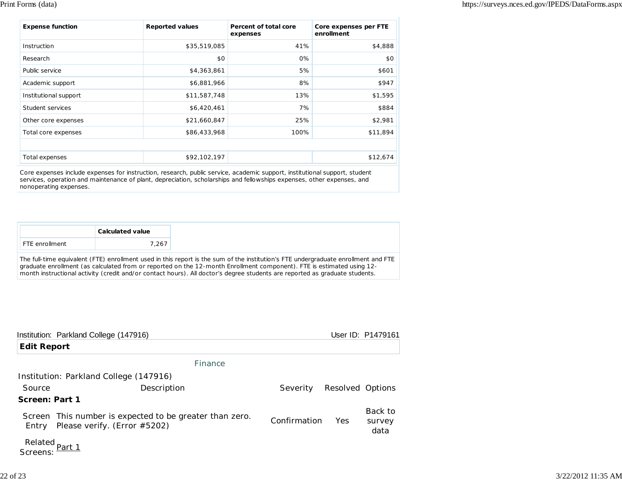| <b>Expense function</b> | <b>Reported values</b> | Percent of total core<br>expenses | Core expenses per FTE<br>enrollment |
|-------------------------|------------------------|-----------------------------------|-------------------------------------|
| Instruction             | \$35,519,085           | 41%                               | \$4,888                             |
| Research                | \$0                    | 0%                                | \$0                                 |
| Public service          | \$4,363,861            | 5%                                | \$601                               |
| Academic support        | \$6,881,966            | 8%                                | \$947                               |
| Institutional support   | \$11,587,748           | 13%                               | \$1,595                             |
| Student services        | \$6,420,461            | 7%                                | \$884                               |
| Other core expenses     | \$21,660,847           | 25%                               | \$2,981                             |
| Total core expenses     | \$86,433,968           | 100%                              | \$11,894                            |
|                         |                        |                                   |                                     |
| Total expenses          | \$92,102,197           |                                   | \$12,674                            |

Core expenses include expenses for instruction, research, public service, academic support, institutional support, student services, operation and maintenance of plant, depreciation, scholarships and fellowships expenses, other expenses, and nonoperating expenses.

|                                                                                                                                                                                                                                                                                                                                                                                            | <b>Calculated value</b> |  |  |  |  |  |
|--------------------------------------------------------------------------------------------------------------------------------------------------------------------------------------------------------------------------------------------------------------------------------------------------------------------------------------------------------------------------------------------|-------------------------|--|--|--|--|--|
| FTE enrollment                                                                                                                                                                                                                                                                                                                                                                             | 7.267                   |  |  |  |  |  |
| The full-time equivalent (FTE) enrollment used in this report is the sum of the institution's FTE undergraduate enrollment and FTE<br>graduate enrollment (as calculated from or reported on the 12-month Enrollment component). FTE is estimated using 12-<br>month instructional activity (credit and/or contact hours). All doctor's degree students are reported as graduate students. |                         |  |  |  |  |  |

|                                       | Institution: Parkland College (147916)                                                  |              |                  | User ID: P1479161         |
|---------------------------------------|-----------------------------------------------------------------------------------------|--------------|------------------|---------------------------|
| <b>Edit Report</b>                    |                                                                                         |              |                  |                           |
|                                       | Finance                                                                                 |              |                  |                           |
|                                       | Institution: Parkland College (147916)                                                  |              |                  |                           |
| Source                                | Description                                                                             | Severity     | Resolved Options |                           |
| Screen: Part 1                        |                                                                                         |              |                  |                           |
| Entry                                 | Screen This number is expected to be greater than zero.<br>Please verify. (Error #5202) | Confirmation | Yes              | Back to<br>survey<br>data |
| Related <sub>Part 1</sub><br>Screens: |                                                                                         |              |                  |                           |